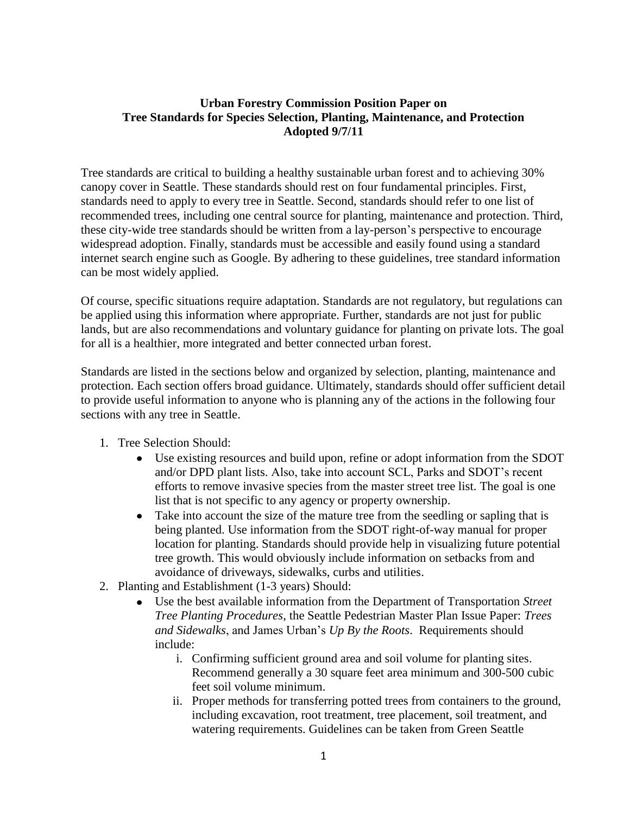## **Urban Forestry Commission Position Paper on Tree Standards for Species Selection, Planting, Maintenance, and Protection Adopted 9/7/11**

Tree standards are critical to building a healthy sustainable urban forest and to achieving 30% canopy cover in Seattle. These standards should rest on four fundamental principles. First, standards need to apply to every tree in Seattle. Second, standards should refer to one list of recommended trees, including one central source for planting, maintenance and protection. Third, these city-wide tree standards should be written from a lay-person's perspective to encourage widespread adoption. Finally, standards must be accessible and easily found using a standard internet search engine such as Google. By adhering to these guidelines, tree standard information can be most widely applied.

Of course, specific situations require adaptation. Standards are not regulatory, but regulations can be applied using this information where appropriate. Further, standards are not just for public lands, but are also recommendations and voluntary guidance for planting on private lots. The goal for all is a healthier, more integrated and better connected urban forest.

Standards are listed in the sections below and organized by selection, planting, maintenance and protection. Each section offers broad guidance. Ultimately, standards should offer sufficient detail to provide useful information to anyone who is planning any of the actions in the following four sections with any tree in Seattle.

- 1. Tree Selection Should:
	- Use existing resources and build upon, refine or adopt information from the SDOT and/or DPD plant lists. Also, take into account SCL, Parks and SDOT's recent efforts to remove invasive species from the master street tree list. The goal is one list that is not specific to any agency or property ownership.
	- Take into account the size of the mature tree from the seedling or sapling that is being planted. Use information from the SDOT right-of-way manual for proper location for planting. Standards should provide help in visualizing future potential tree growth. This would obviously include information on setbacks from and avoidance of driveways, sidewalks, curbs and utilities.
- 2. Planting and Establishment (1-3 years) Should:
	- Use the best available information from the Department of Transportation *Street Tree Planting Procedures*, the Seattle Pedestrian Master Plan Issue Paper: *Trees and Sidewalks*, and James Urban's *Up By the Roots*. Requirements should include:
		- i. Confirming sufficient ground area and soil volume for planting sites. Recommend generally a 30 square feet area minimum and 300-500 cubic feet soil volume minimum.
		- ii. Proper methods for transferring potted trees from containers to the ground, including excavation, root treatment, tree placement, soil treatment, and watering requirements. Guidelines can be taken from Green Seattle